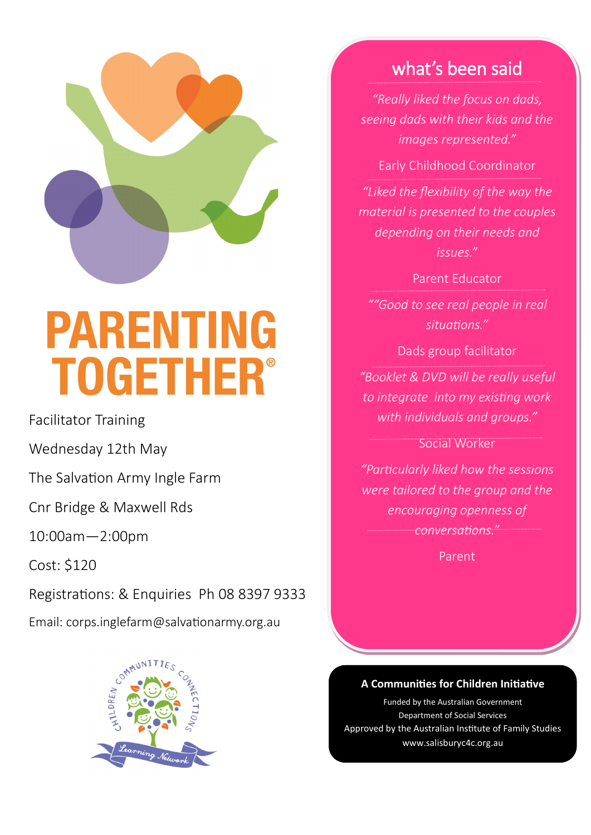

# **PARENTING TOGETHER®**

Facilitator Training

Wednesday 12th May

The Salvation Army Ingle Farm

Cnr Bridge & Maxwell Rds

10:00am—2:00pm

Cost: \$120

Registrations: & Enquiries Ph 08 8397 9333

Email: corps.inglefarm@salvationarmy.org.au



## what's been said

*"Really liked the focus on dads, seeing dads with their kids and the images represented."*

Early Childhood Coordinator

*"Liked the flexibility of the way the material is presented to the couples depending on their needs and issues."*

Parent Educator

*""Good to see real people in real situations."*

Dads group facilitator

*"Booklet & DVD will be really useful to integrate into my existing work with individuals and groups."*

Social Worker

*"Particularly liked how the sessions were tailored to the group and the encouraging openness of conversations."*

Parent

### **A Communities for Children Initiative**

www.salisburyc4c.org.au www.salisburyc4c.org.auFunded by the Australian Government Department of Social Services Approved by the Australian Institute of Family Studies